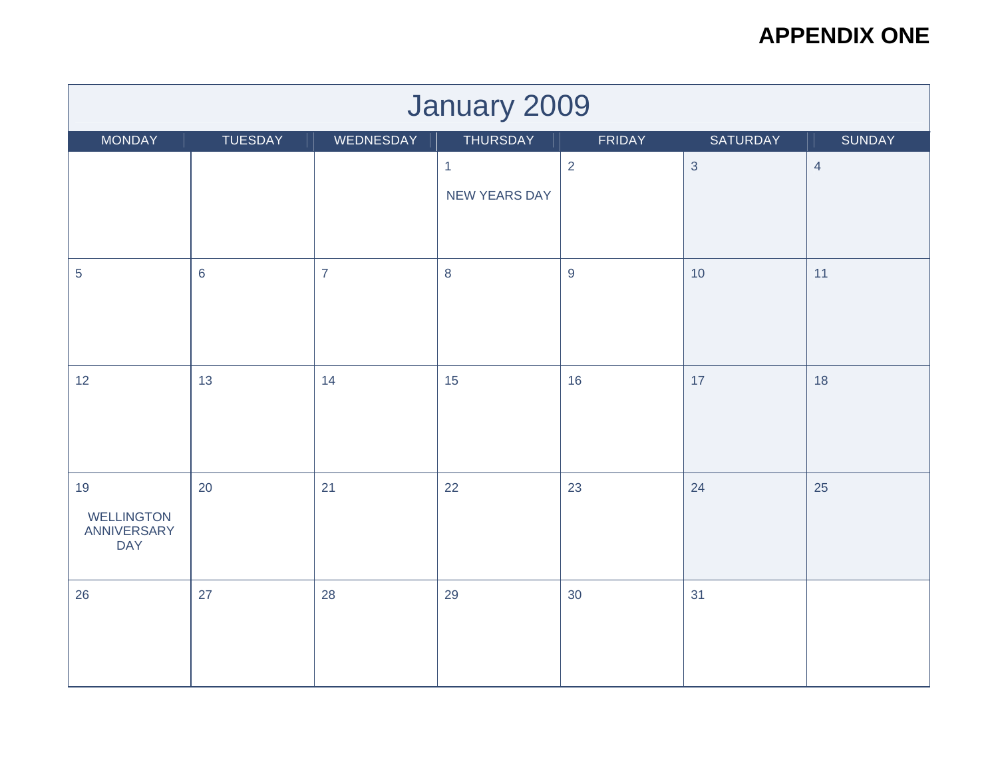| January 2009                                         |                                                                                |                |                                      |                |            |                |  |  |  |
|------------------------------------------------------|--------------------------------------------------------------------------------|----------------|--------------------------------------|----------------|------------|----------------|--|--|--|
| MONDAY                                               | WEDNESDAY<br>TUESDAY<br>THURSDAY<br><b>FRIDAY</b><br>SATURDAY<br><b>SUNDAY</b> |                |                                      |                |            |                |  |  |  |
|                                                      |                                                                                |                | $\mathbf{1}$<br><b>NEW YEARS DAY</b> | 2              | $\sqrt{3}$ | $\overline{4}$ |  |  |  |
| 5                                                    | $\,$ 6 $\,$                                                                    | $\overline{7}$ | $\,8\,$                              | $\overline{9}$ | 10         | 11             |  |  |  |
| 12                                                   | 13                                                                             | 14             | 15                                   | 16             | 17         | 18             |  |  |  |
| 19<br><b>WELLINGTON</b><br>ANNIVERSARY<br><b>DAY</b> | 20                                                                             | 21             | 22                                   | 23             | 24         | 25             |  |  |  |
| 26                                                   | 27                                                                             | 28             | 29                                   | 30             | 31         |                |  |  |  |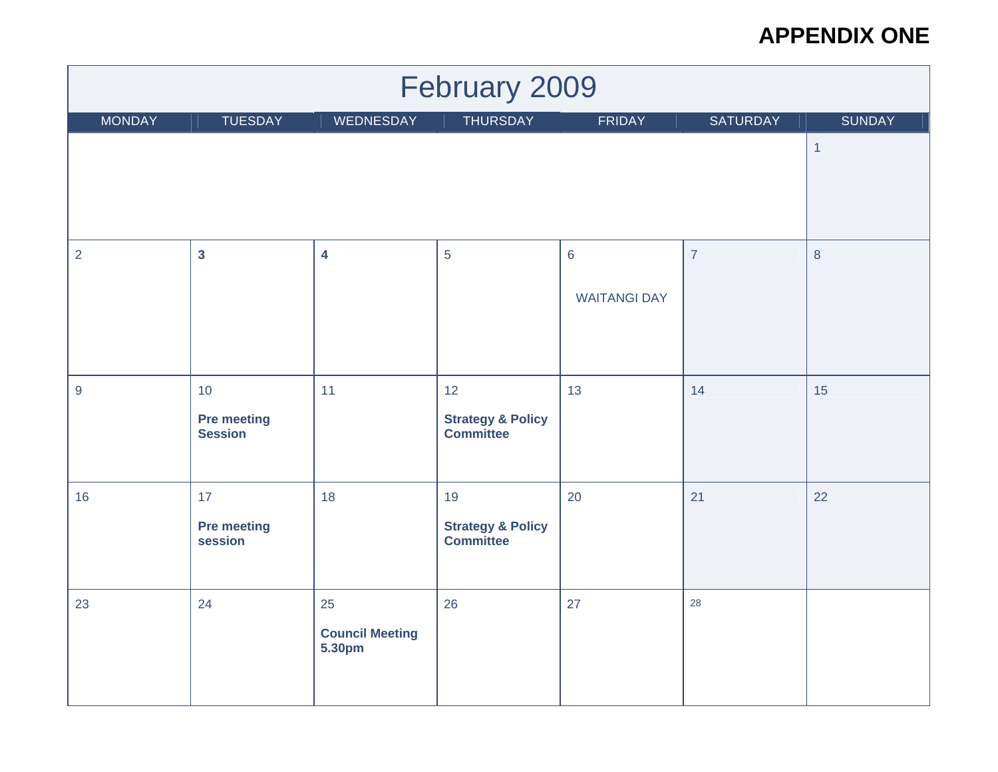| February 2009    |                                            |                                        |                                                        |                                        |                |                |  |  |
|------------------|--------------------------------------------|----------------------------------------|--------------------------------------------------------|----------------------------------------|----------------|----------------|--|--|
| <b>MONDAY</b>    | <b>TUESDAY</b>                             | WEDNESDAY                              | <b>THURSDAY</b>                                        | <b>FRIDAY</b>                          | SATURDAY       | <b>SUNDAY</b>  |  |  |
|                  |                                            |                                        |                                                        |                                        |                | $\overline{1}$ |  |  |
| $\overline{2}$   | $\overline{\mathbf{3}}$                    | $\overline{\mathbf{4}}$                | 5                                                      | $6\phantom{1}6$<br><b>WAITANGI DAY</b> | $\overline{7}$ | $\,8\,$        |  |  |
| $\boldsymbol{9}$ | 10<br><b>Pre meeting</b><br><b>Session</b> | 11                                     | 12<br><b>Strategy &amp; Policy</b><br><b>Committee</b> | 13                                     | 14             | 15             |  |  |
| 16               | 17<br><b>Pre meeting</b><br>session        | 18                                     | 19<br><b>Strategy &amp; Policy</b><br><b>Committee</b> | 20                                     | 21             | 22             |  |  |
| 23               | 24                                         | 25<br><b>Council Meeting</b><br>5.30pm | 26                                                     | 27                                     | 28             |                |  |  |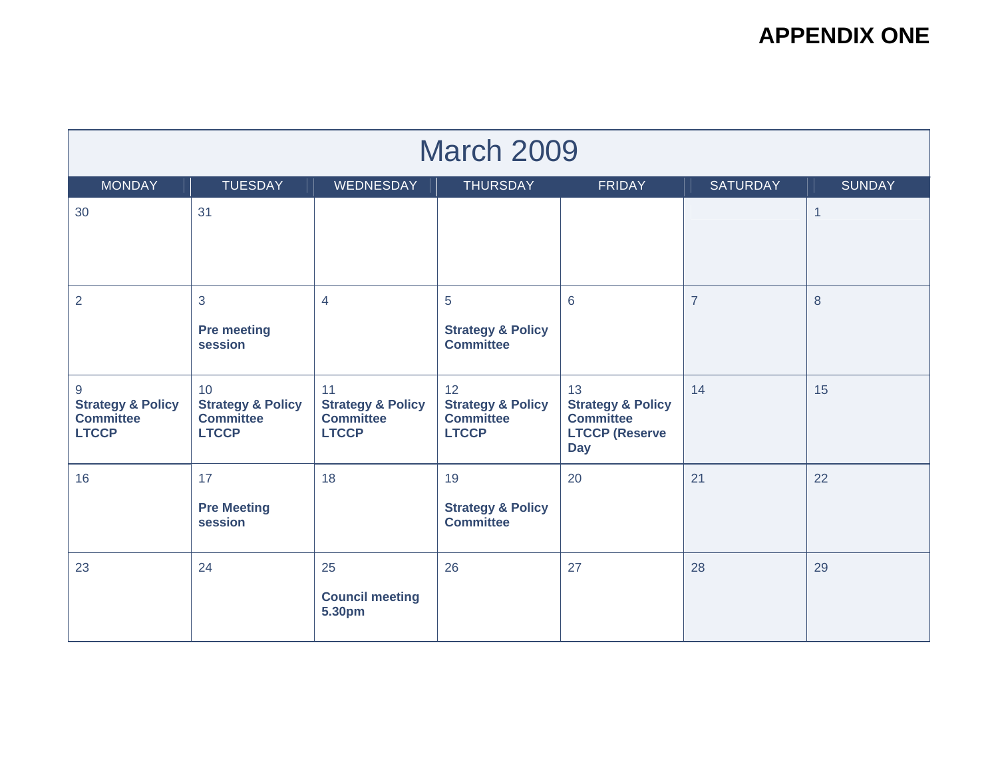| <b>March 2009</b>                                                     |                                                                        |                                                                        |                                                                        |                                                                                               |                 |               |  |  |
|-----------------------------------------------------------------------|------------------------------------------------------------------------|------------------------------------------------------------------------|------------------------------------------------------------------------|-----------------------------------------------------------------------------------------------|-----------------|---------------|--|--|
| <b>MONDAY</b>                                                         | <b>TUESDAY</b>                                                         | WEDNESDAY                                                              | <b>THURSDAY</b>                                                        | <b>FRIDAY</b>                                                                                 | <b>SATURDAY</b> | <b>SUNDAY</b> |  |  |
| 30                                                                    | 31                                                                     |                                                                        |                                                                        |                                                                                               |                 | $\mathbf{1}$  |  |  |
| $\overline{2}$                                                        | 3<br><b>Pre meeting</b><br>session                                     | $\overline{4}$                                                         | 5<br><b>Strategy &amp; Policy</b><br><b>Committee</b>                  | 6                                                                                             | $\overline{7}$  | 8             |  |  |
| 9<br><b>Strategy &amp; Policy</b><br><b>Committee</b><br><b>LTCCP</b> | 10<br><b>Strategy &amp; Policy</b><br><b>Committee</b><br><b>LTCCP</b> | 11<br><b>Strategy &amp; Policy</b><br><b>Committee</b><br><b>LTCCP</b> | 12<br><b>Strategy &amp; Policy</b><br><b>Committee</b><br><b>LTCCP</b> | 13<br><b>Strategy &amp; Policy</b><br><b>Committee</b><br><b>LTCCP (Reserve</b><br><b>Day</b> | 14              | 15            |  |  |
| 16                                                                    | 17<br><b>Pre Meeting</b><br>session                                    | 18                                                                     | 19<br><b>Strategy &amp; Policy</b><br><b>Committee</b>                 | 20                                                                                            | 21              | 22            |  |  |
| 23                                                                    | 24                                                                     | 25<br><b>Council meeting</b><br>5.30pm                                 | 26                                                                     | 27                                                                                            | 28              | 29            |  |  |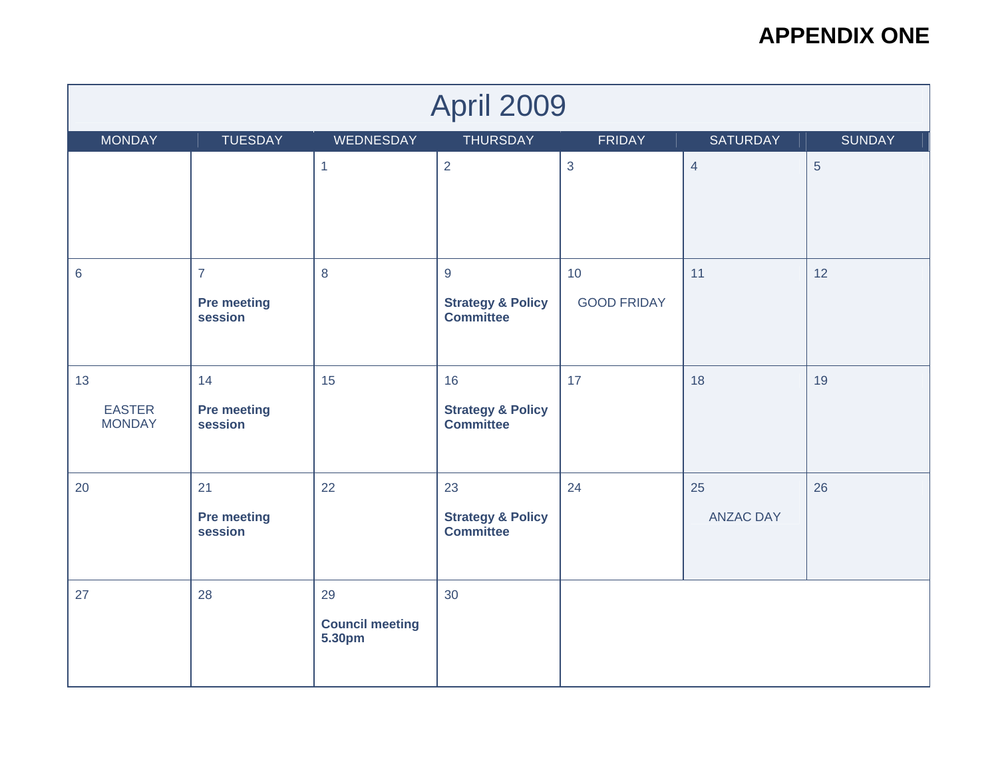| <b>April 2009</b>                    |                                                 |                                        |                                                        |                          |                        |                |  |  |
|--------------------------------------|-------------------------------------------------|----------------------------------------|--------------------------------------------------------|--------------------------|------------------------|----------------|--|--|
| <b>MONDAY</b>                        | <b>TUESDAY</b>                                  | WEDNESDAY                              | <b>THURSDAY</b>                                        | FRIDAY                   | SATURDAY               | <b>SUNDAY</b>  |  |  |
|                                      |                                                 | $\mathbf{1}$                           | $\overline{2}$                                         | 3                        | $\overline{4}$         | $\overline{5}$ |  |  |
| $\,6$                                | $\overline{7}$<br><b>Pre meeting</b><br>session | 8                                      | 9<br><b>Strategy &amp; Policy</b><br><b>Committee</b>  | 10<br><b>GOOD FRIDAY</b> | 11                     | 12             |  |  |
| 13<br><b>EASTER</b><br><b>MONDAY</b> | 14<br><b>Pre meeting</b><br>session             | 15                                     | 16<br><b>Strategy &amp; Policy</b><br><b>Committee</b> | 17                       | 18                     | 19             |  |  |
| 20                                   | 21<br><b>Pre meeting</b><br>session             | 22                                     | 23<br><b>Strategy &amp; Policy</b><br><b>Committee</b> | 24                       | 25<br><b>ANZAC DAY</b> | 26             |  |  |
| 27                                   | 28                                              | 29<br><b>Council meeting</b><br>5.30pm | 30                                                     |                          |                        |                |  |  |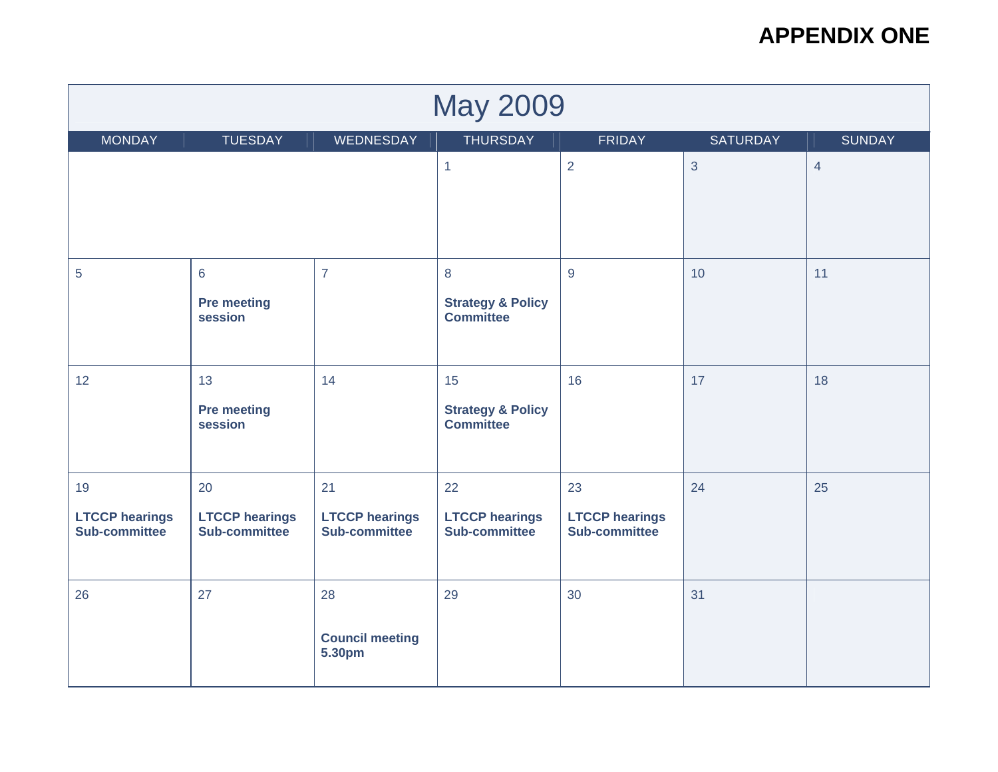| <b>May 2009</b>                              |                                                                                                     |                                              |                                                        |                                              |                |    |  |  |  |
|----------------------------------------------|-----------------------------------------------------------------------------------------------------|----------------------------------------------|--------------------------------------------------------|----------------------------------------------|----------------|----|--|--|--|
| <b>MONDAY</b>                                | <b>THURSDAY</b><br><b>TUESDAY</b><br><b>FRIDAY</b><br>WEDNESDAY<br><b>SATURDAY</b><br><b>SUNDAY</b> |                                              |                                                        |                                              |                |    |  |  |  |
|                                              |                                                                                                     | $\mathbf{1}$                                 | $\overline{2}$                                         | $\mathbf{3}$                                 | $\overline{4}$ |    |  |  |  |
| $\sqrt{5}$                                   | $6\phantom{a}$<br><b>Pre meeting</b><br>session                                                     | $\overline{7}$                               | 8<br><b>Strategy &amp; Policy</b><br><b>Committee</b>  | 9                                            | 10             | 11 |  |  |  |
| 12                                           | 13<br><b>Pre meeting</b><br>session                                                                 | 14                                           | 15<br><b>Strategy &amp; Policy</b><br><b>Committee</b> | 16                                           | 17             | 18 |  |  |  |
| 19<br><b>LTCCP hearings</b><br>Sub-committee | 20<br><b>LTCCP hearings</b><br>Sub-committee                                                        | 21<br><b>LTCCP hearings</b><br>Sub-committee | 22<br><b>LTCCP hearings</b><br>Sub-committee           | 23<br><b>LTCCP hearings</b><br>Sub-committee | 24             | 25 |  |  |  |
| 26                                           | 27                                                                                                  | 28<br><b>Council meeting</b><br>5.30pm       | 29                                                     | 30                                           | 31             |    |  |  |  |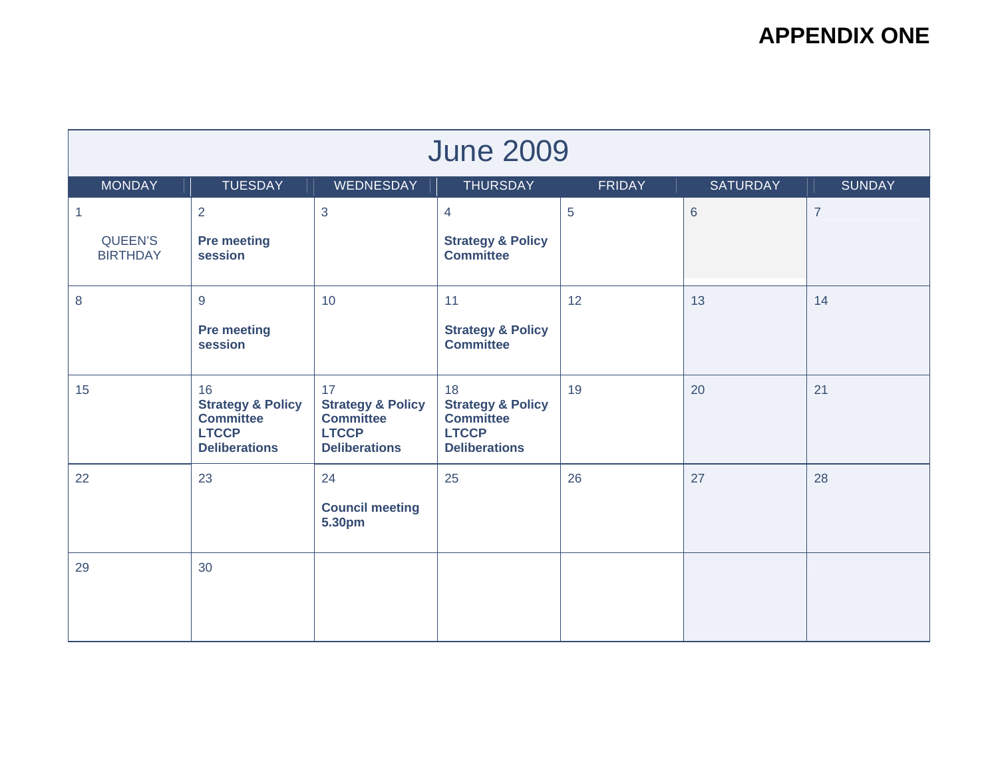| <b>June 2009</b>           |                                                                                                |                                                                                                |                                                                                                |               |                 |                |  |  |
|----------------------------|------------------------------------------------------------------------------------------------|------------------------------------------------------------------------------------------------|------------------------------------------------------------------------------------------------|---------------|-----------------|----------------|--|--|
| <b>MONDAY</b>              | <b>TUESDAY</b>                                                                                 | WEDNESDAY                                                                                      | <b>THURSDAY</b>                                                                                | <b>FRIDAY</b> | <b>SATURDAY</b> | <b>SUNDAY</b>  |  |  |
| $\mathbf{1}$               | 2                                                                                              | 3                                                                                              | $\overline{4}$                                                                                 | 5             | $6\phantom{1}$  | $\overline{7}$ |  |  |
| QUEEN'S<br><b>BIRTHDAY</b> | <b>Pre meeting</b><br>session                                                                  |                                                                                                | <b>Strategy &amp; Policy</b><br><b>Committee</b>                                               |               |                 |                |  |  |
| 8                          | $9$                                                                                            | 10                                                                                             | 11                                                                                             | 12            | 13              | 14             |  |  |
|                            | <b>Pre meeting</b><br>session                                                                  |                                                                                                | <b>Strategy &amp; Policy</b><br><b>Committee</b>                                               |               |                 |                |  |  |
| 15                         | 16<br><b>Strategy &amp; Policy</b><br><b>Committee</b><br><b>LTCCP</b><br><b>Deliberations</b> | 17<br><b>Strategy &amp; Policy</b><br><b>Committee</b><br><b>LTCCP</b><br><b>Deliberations</b> | 18<br><b>Strategy &amp; Policy</b><br><b>Committee</b><br><b>LTCCP</b><br><b>Deliberations</b> | 19            | 20              | 21             |  |  |
| 22                         | 23                                                                                             | 24                                                                                             | 25                                                                                             | 26            | 27              | 28             |  |  |
|                            |                                                                                                | <b>Council meeting</b><br>5.30pm                                                               |                                                                                                |               |                 |                |  |  |
| 29                         | 30                                                                                             |                                                                                                |                                                                                                |               |                 |                |  |  |
|                            |                                                                                                |                                                                                                |                                                                                                |               |                 |                |  |  |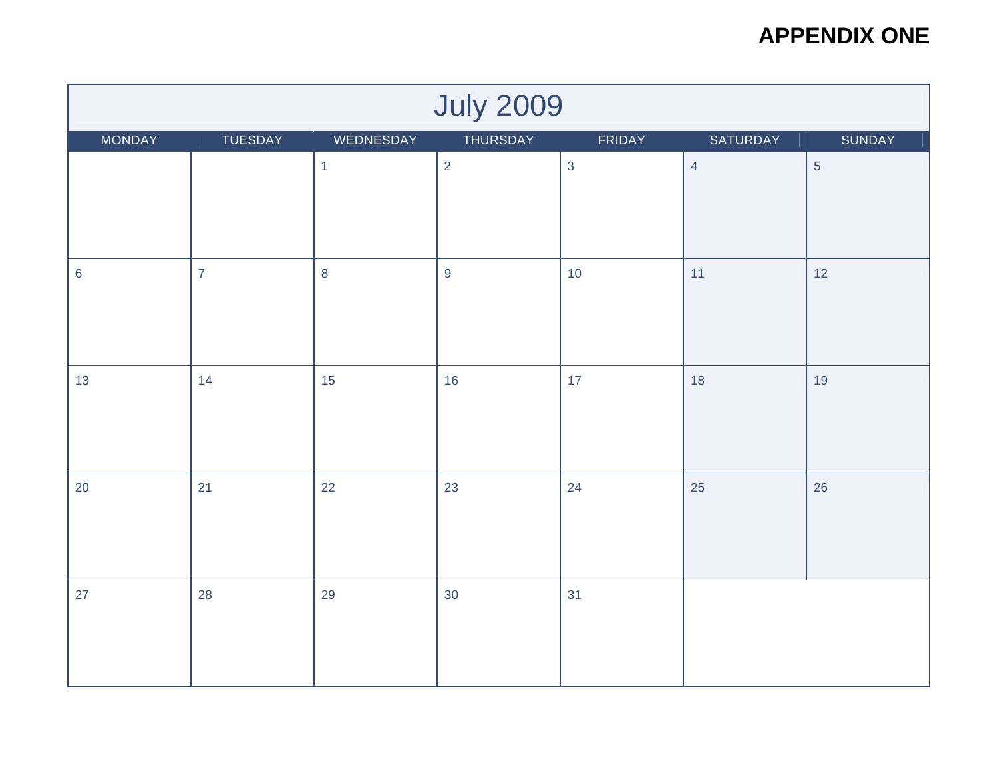| <b>July 2009</b> |                                                                         |              |                  |              |                |                |  |  |  |
|------------------|-------------------------------------------------------------------------|--------------|------------------|--------------|----------------|----------------|--|--|--|
| <b>MONDAY</b>    | <b>THURSDAY</b><br>TUESDAY<br>WEDNESDAY<br>FRIDAY<br>SATURDAY<br>SUNDAY |              |                  |              |                |                |  |  |  |
|                  |                                                                         | $\mathbf{1}$ | $\overline{2}$   | $\mathbf{3}$ | $\overline{4}$ | $\overline{5}$ |  |  |  |
| $\,6\,$          | $\overline{7}$                                                          | $\bf 8$      | $\boldsymbol{9}$ | 10           | 11             | 12             |  |  |  |
| 13               | 14                                                                      | 15           | 16               | 17           | 18             | 19             |  |  |  |
| 20               | 21                                                                      | 22           | 23               | 24           | 25             | 26             |  |  |  |
| 27               | 28                                                                      | 29           | 30               | 31           |                |                |  |  |  |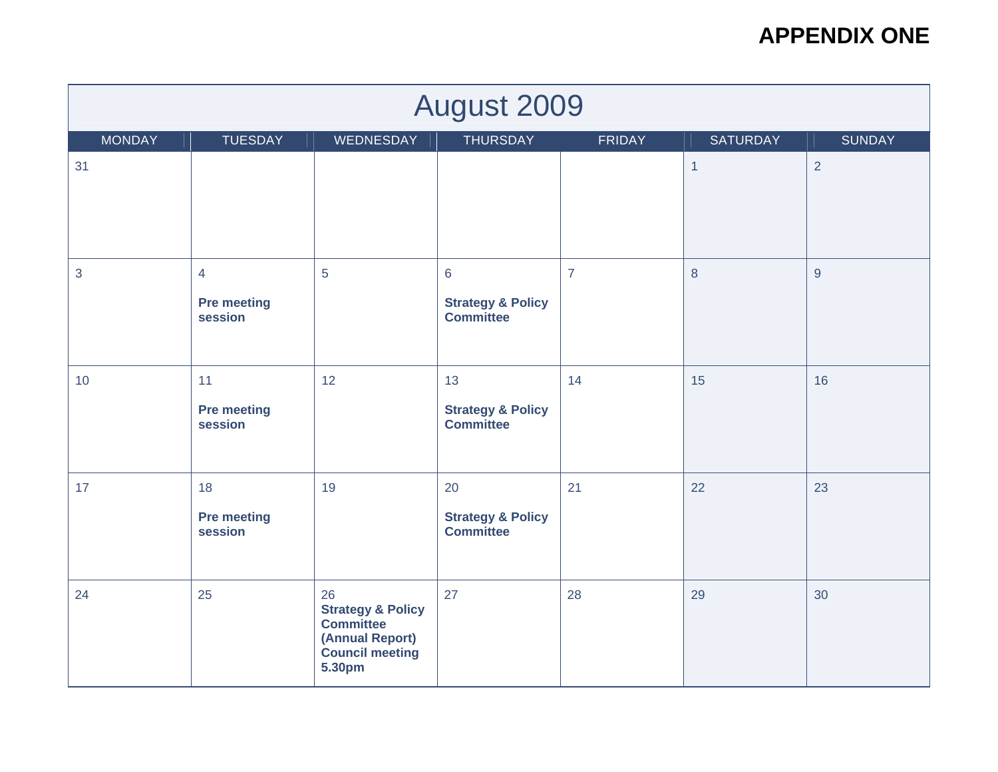| <b>August 2009</b> |                                                                                              |                                                                                                               |                                                                    |                |              |                |  |  |  |
|--------------------|----------------------------------------------------------------------------------------------|---------------------------------------------------------------------------------------------------------------|--------------------------------------------------------------------|----------------|--------------|----------------|--|--|--|
| <b>MONDAY</b>      | <b>TUESDAY</b><br>WEDNESDAY<br><b>THURSDAY</b><br><b>FRIDAY</b><br><b>SUNDAY</b><br>SATURDAY |                                                                                                               |                                                                    |                |              |                |  |  |  |
| 31                 |                                                                                              |                                                                                                               |                                                                    |                | $\mathbf{1}$ | $\overline{2}$ |  |  |  |
| 3                  | $\overline{4}$<br><b>Pre meeting</b><br>session                                              | 5                                                                                                             | $6\phantom{a}$<br><b>Strategy &amp; Policy</b><br><b>Committee</b> | $\overline{7}$ | $\bf 8$      | $\overline{9}$ |  |  |  |
| 10                 | 11<br><b>Pre meeting</b><br>session                                                          | 12                                                                                                            | 13<br><b>Strategy &amp; Policy</b><br><b>Committee</b>             | 14             | 15           | 16             |  |  |  |
| 17                 | 18<br><b>Pre meeting</b><br>session                                                          | 19                                                                                                            | 20<br><b>Strategy &amp; Policy</b><br><b>Committee</b>             | 21             | 22           | 23             |  |  |  |
| 24                 | 25                                                                                           | 26<br><b>Strategy &amp; Policy</b><br><b>Committee</b><br>(Annual Report)<br><b>Council meeting</b><br>5.30pm | 27                                                                 | 28             | 29           | 30             |  |  |  |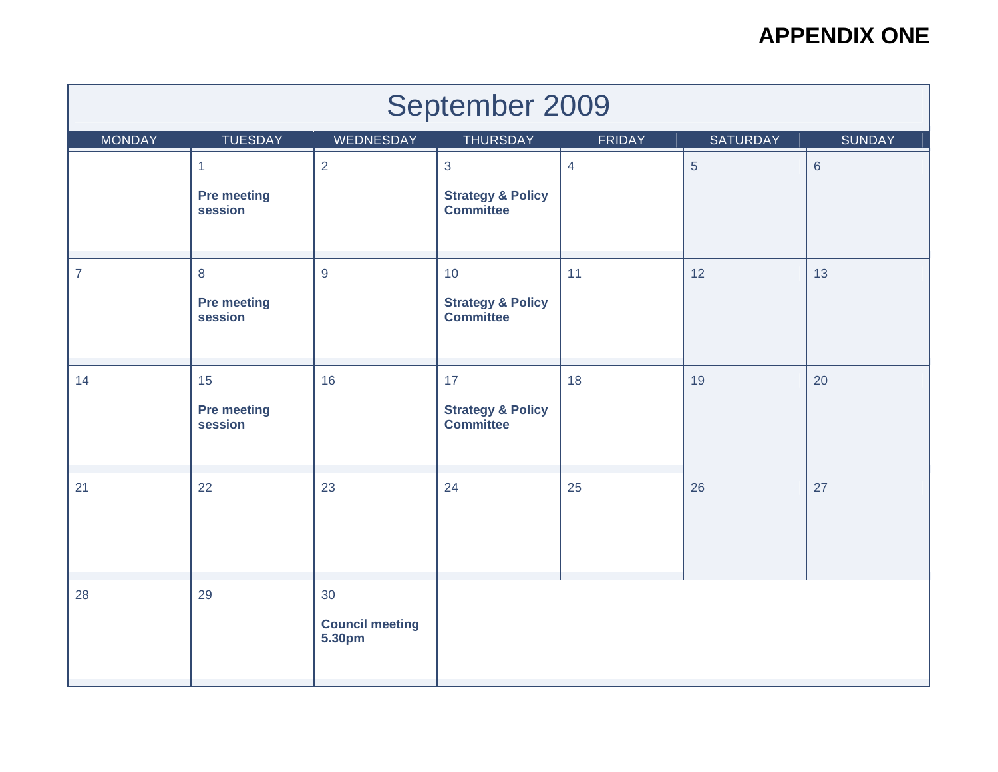| September 2009 |                               |                                  |                                                  |                |                |                |  |  |
|----------------|-------------------------------|----------------------------------|--------------------------------------------------|----------------|----------------|----------------|--|--|
| <b>MONDAY</b>  | <b>TUESDAY</b>                | WEDNESDAY                        | <b>THURSDAY</b>                                  | <b>FRIDAY</b>  | SATURDAY       | <b>SUNDAY</b>  |  |  |
|                | $\mathbf{1}$                  | $\overline{2}$                   | 3                                                | $\overline{4}$ | $\overline{5}$ | $6\phantom{1}$ |  |  |
|                | <b>Pre meeting</b><br>session |                                  | <b>Strategy &amp; Policy</b><br><b>Committee</b> |                |                |                |  |  |
| $\overline{7}$ | $\,8\,$                       | $\overline{9}$                   | 10                                               | 11             | 12             | 13             |  |  |
|                | <b>Pre meeting</b><br>session |                                  | <b>Strategy &amp; Policy</b><br><b>Committee</b> |                |                |                |  |  |
| 14             | 15                            | 16                               | 17                                               | 18             | 19             | 20             |  |  |
|                | <b>Pre meeting</b><br>session |                                  | <b>Strategy &amp; Policy</b><br><b>Committee</b> |                |                |                |  |  |
| 21             | 22                            | 23                               | 24                                               | 25             | 26             | 27             |  |  |
| 28             | 29                            | 30                               |                                                  |                |                |                |  |  |
|                |                               | <b>Council meeting</b><br>5.30pm |                                                  |                |                |                |  |  |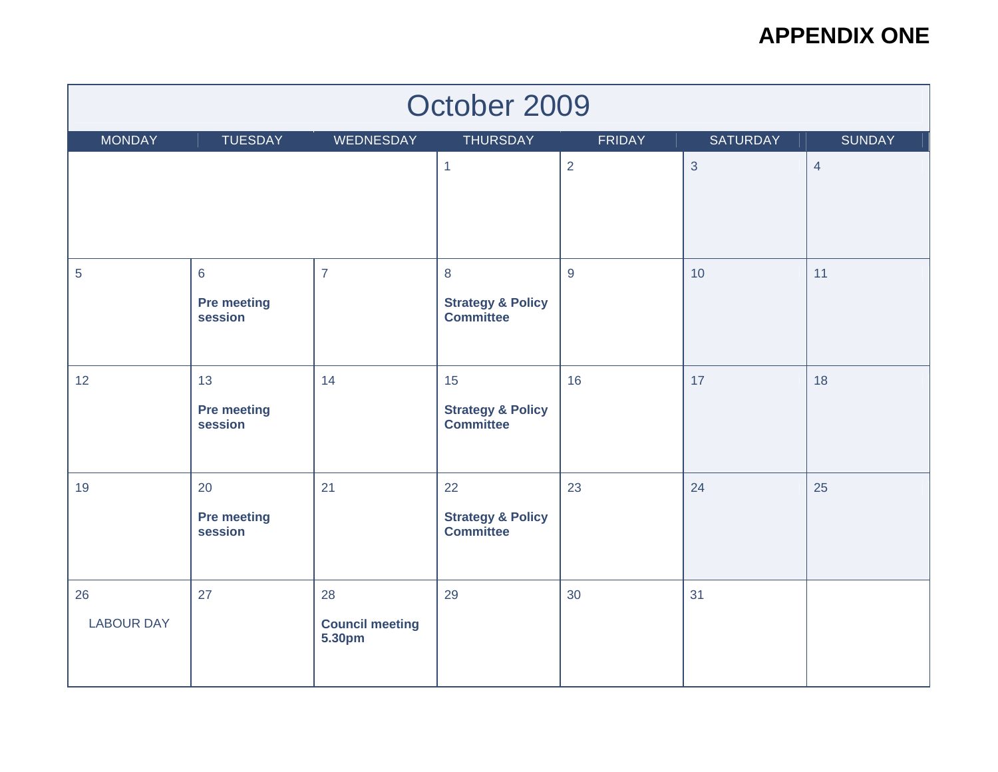| October 2009            |                                                  |                                        |                                                        |               |                 |                |  |  |
|-------------------------|--------------------------------------------------|----------------------------------------|--------------------------------------------------------|---------------|-----------------|----------------|--|--|
| <b>MONDAY</b>           | <b>TUESDAY</b>                                   | WEDNESDAY                              | <b>THURSDAY</b>                                        | <b>FRIDAY</b> | <b>SATURDAY</b> | <b>SUNDAY</b>  |  |  |
|                         |                                                  |                                        | $\mathbf{1}$                                           | 2             | $\mathbf{3}$    | $\overline{4}$ |  |  |
| 5                       | $6\phantom{1}6$<br><b>Pre meeting</b><br>session | $\overline{7}$                         | 8<br><b>Strategy &amp; Policy</b><br><b>Committee</b>  | 9             | 10              | 11             |  |  |
| 12                      | 13<br><b>Pre meeting</b><br>session              | 14                                     | 15<br><b>Strategy &amp; Policy</b><br><b>Committee</b> | 16            | 17              | 18             |  |  |
| 19                      | 20<br><b>Pre meeting</b><br>session              | 21                                     | 22<br><b>Strategy &amp; Policy</b><br><b>Committee</b> | 23            | 24              | 25             |  |  |
| 26<br><b>LABOUR DAY</b> | 27                                               | 28<br><b>Council meeting</b><br>5.30pm | 29                                                     | 30            | 31              |                |  |  |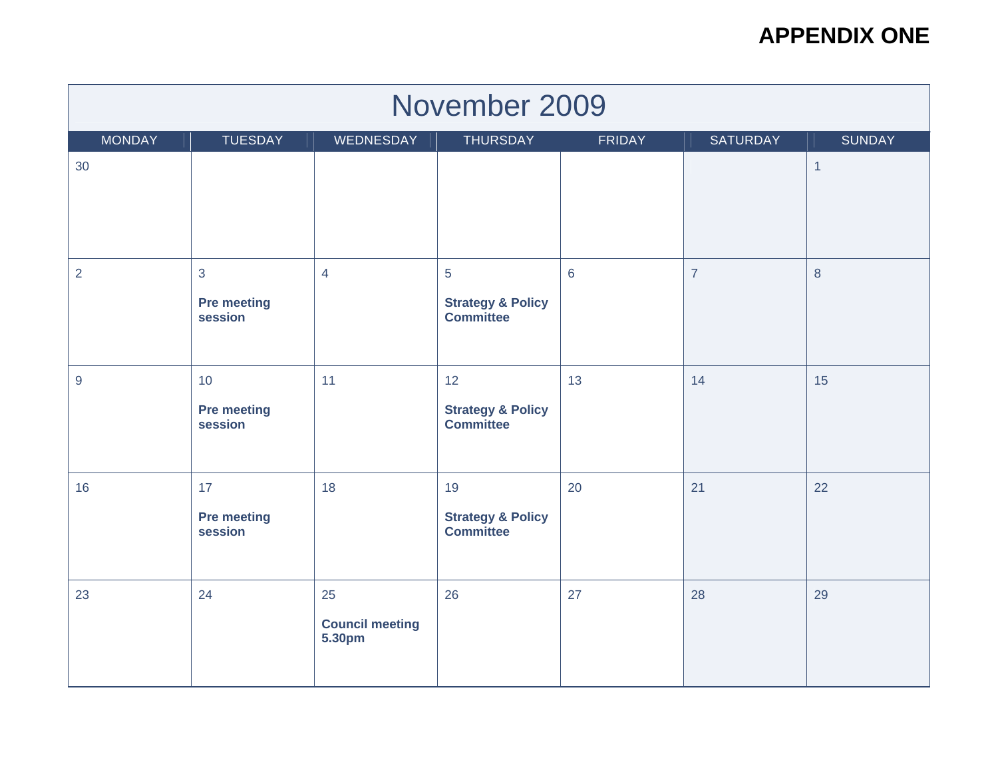| November 2009                                                                                          |                                                 |                                        |                                                        |    |                |                |  |  |  |
|--------------------------------------------------------------------------------------------------------|-------------------------------------------------|----------------------------------------|--------------------------------------------------------|----|----------------|----------------|--|--|--|
| <b>MONDAY</b><br><b>TUESDAY</b><br>WEDNESDAY<br><b>THURSDAY</b><br>FRIDAY<br>SATURDAY<br><b>SUNDAY</b> |                                                 |                                        |                                                        |    |                |                |  |  |  |
| 30                                                                                                     |                                                 |                                        |                                                        |    |                | $\overline{1}$ |  |  |  |
| $\overline{2}$                                                                                         | $\overline{3}$<br><b>Pre meeting</b><br>session | $\overline{4}$                         | 5<br><b>Strategy &amp; Policy</b><br><b>Committee</b>  | 6  | $\overline{7}$ | 8              |  |  |  |
| $9\,$                                                                                                  | 10<br><b>Pre meeting</b><br>session             | 11                                     | 12<br><b>Strategy &amp; Policy</b><br><b>Committee</b> | 13 | 14             | 15             |  |  |  |
| 16                                                                                                     | 17<br><b>Pre meeting</b><br>session             | 18                                     | 19<br><b>Strategy &amp; Policy</b><br><b>Committee</b> | 20 | 21             | 22             |  |  |  |
| 23                                                                                                     | 24                                              | 25<br><b>Council meeting</b><br>5.30pm | 26                                                     | 27 | 28             | 29             |  |  |  |